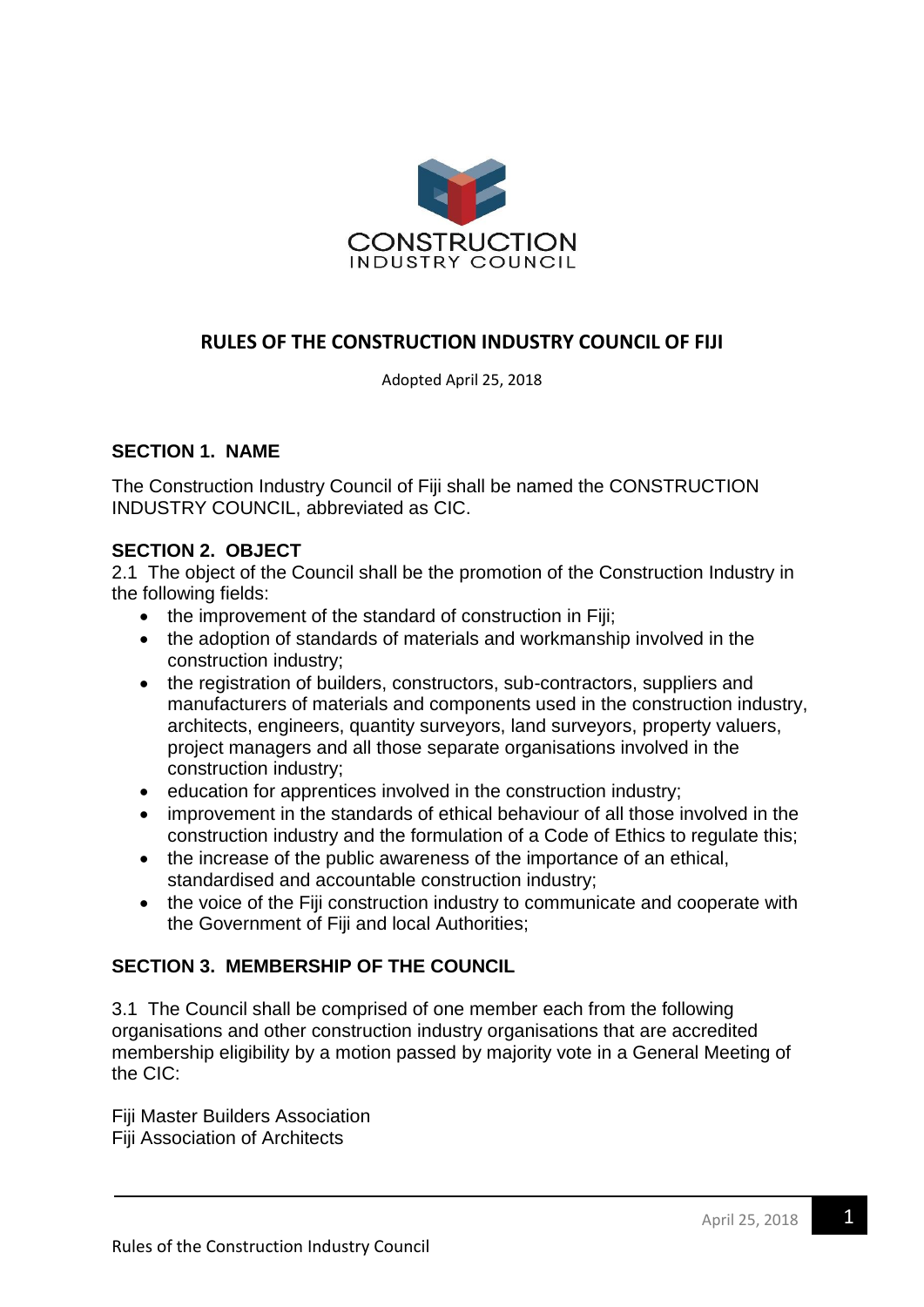

## **RULES OF THE CONSTRUCTION INDUSTRY COUNCIL OF FIJI**

Adopted April 25, 2018

### **SECTION 1. NAME**

The Construction Industry Council of Fiji shall be named the CONSTRUCTION INDUSTRY COUNCIL, abbreviated as CIC.

#### **SECTION 2. OBJECT**

2.1 The object of the Council shall be the promotion of the Construction Industry in the following fields:

- the improvement of the standard of construction in Fiji;
- the adoption of standards of materials and workmanship involved in the construction industry;
- the registration of builders, constructors, sub-contractors, suppliers and manufacturers of materials and components used in the construction industry, architects, engineers, quantity surveyors, land surveyors, property valuers, project managers and all those separate organisations involved in the construction industry;
- education for apprentices involved in the construction industry;
- improvement in the standards of ethical behaviour of all those involved in the construction industry and the formulation of a Code of Ethics to regulate this;
- the increase of the public awareness of the importance of an ethical, standardised and accountable construction industry;
- the voice of the Fiji construction industry to communicate and cooperate with the Government of Fiji and local Authorities;

### **SECTION 3. MEMBERSHIP OF THE COUNCIL**

3.1 The Council shall be comprised of one member each from the following organisations and other construction industry organisations that are accredited membership eligibility by a motion passed by majority vote in a General Meeting of the CIC:

Fiji Master Builders Association Fiji Association of Architects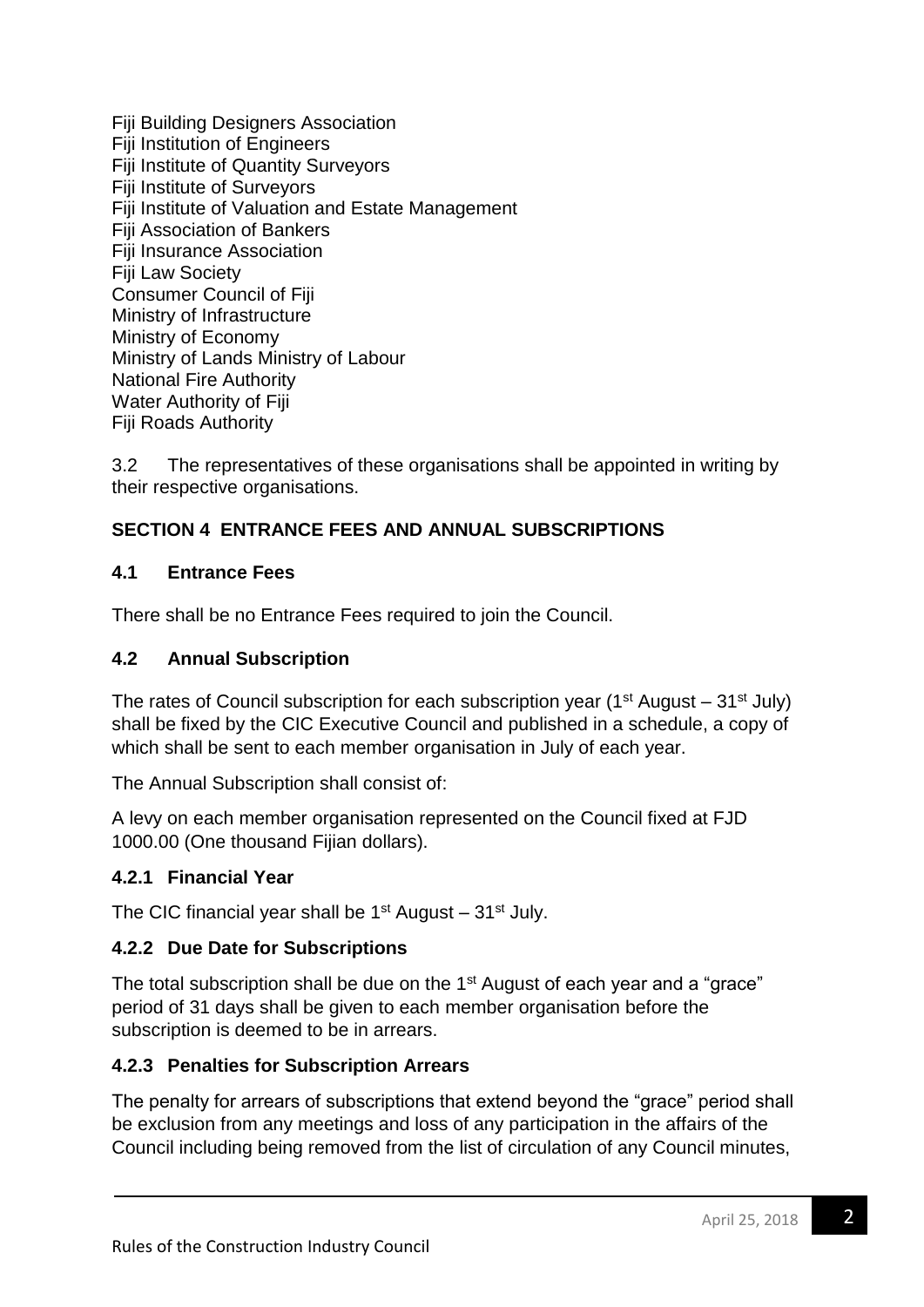Fiji Building Designers Association Fiji Institution of Engineers Fiji Institute of Quantity Surveyors Fiji Institute of Surveyors Fiji Institute of Valuation and Estate Management Fiji Association of Bankers Fiji Insurance Association Fiji Law Society Consumer Council of Fiji Ministry of Infrastructure Ministry of Economy Ministry of Lands Ministry of Labour National Fire Authority Water Authority of Fiji Fiji Roads Authority

3.2 The representatives of these organisations shall be appointed in writing by their respective organisations.

# **SECTION 4 ENTRANCE FEES AND ANNUAL SUBSCRIPTIONS**

## **4.1 Entrance Fees**

There shall be no Entrance Fees required to join the Council.

## **4.2 Annual Subscription**

The rates of Council subscription for each subscription year ( $1<sup>st</sup>$  August –  $31<sup>st</sup>$  July) shall be fixed by the CIC Executive Council and published in a schedule, a copy of which shall be sent to each member organisation in July of each year.

The Annual Subscription shall consist of:

A levy on each member organisation represented on the Council fixed at FJD 1000.00 (One thousand Fijian dollars).

# **4.2.1 Financial Year**

The CIC financial year shall be  $1<sup>st</sup>$  August –  $31<sup>st</sup>$  July.

# **4.2.2 Due Date for Subscriptions**

The total subscription shall be due on the 1<sup>st</sup> August of each year and a "grace" period of 31 days shall be given to each member organisation before the subscription is deemed to be in arrears.

# **4.2.3 Penalties for Subscription Arrears**

The penalty for arrears of subscriptions that extend beyond the "grace" period shall be exclusion from any meetings and loss of any participation in the affairs of the Council including being removed from the list of circulation of any Council minutes,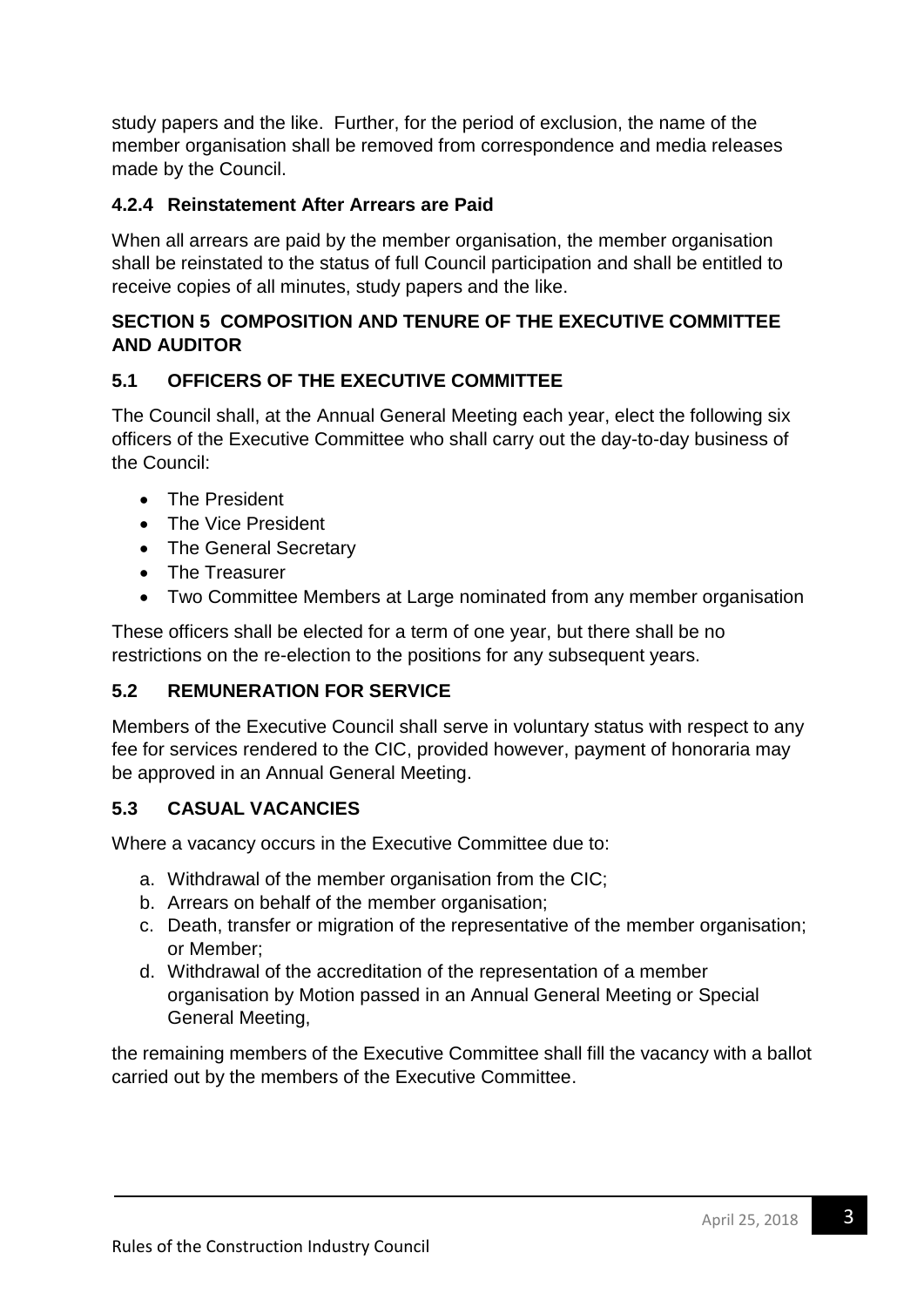study papers and the like. Further, for the period of exclusion, the name of the member organisation shall be removed from correspondence and media releases made by the Council.

## **4.2.4 Reinstatement After Arrears are Paid**

When all arrears are paid by the member organisation, the member organisation shall be reinstated to the status of full Council participation and shall be entitled to receive copies of all minutes, study papers and the like.

## **SECTION 5 COMPOSITION AND TENURE OF THE EXECUTIVE COMMITTEE AND AUDITOR**

## **5.1 OFFICERS OF THE EXECUTIVE COMMITTEE**

The Council shall, at the Annual General Meeting each year, elect the following six officers of the Executive Committee who shall carry out the day-to-day business of the Council:

- The President
- The Vice President
- The General Secretary
- The Treasurer
- Two Committee Members at Large nominated from any member organisation

These officers shall be elected for a term of one year, but there shall be no restrictions on the re-election to the positions for any subsequent years.

# **5.2 REMUNERATION FOR SERVICE**

Members of the Executive Council shall serve in voluntary status with respect to any fee for services rendered to the CIC, provided however, payment of honoraria may be approved in an Annual General Meeting.

# **5.3 CASUAL VACANCIES**

Where a vacancy occurs in the Executive Committee due to:

- a. Withdrawal of the member organisation from the CIC;
- b. Arrears on behalf of the member organisation;
- c. Death, transfer or migration of the representative of the member organisation; or Member;
- d. Withdrawal of the accreditation of the representation of a member organisation by Motion passed in an Annual General Meeting or Special General Meeting,

the remaining members of the Executive Committee shall fill the vacancy with a ballot carried out by the members of the Executive Committee.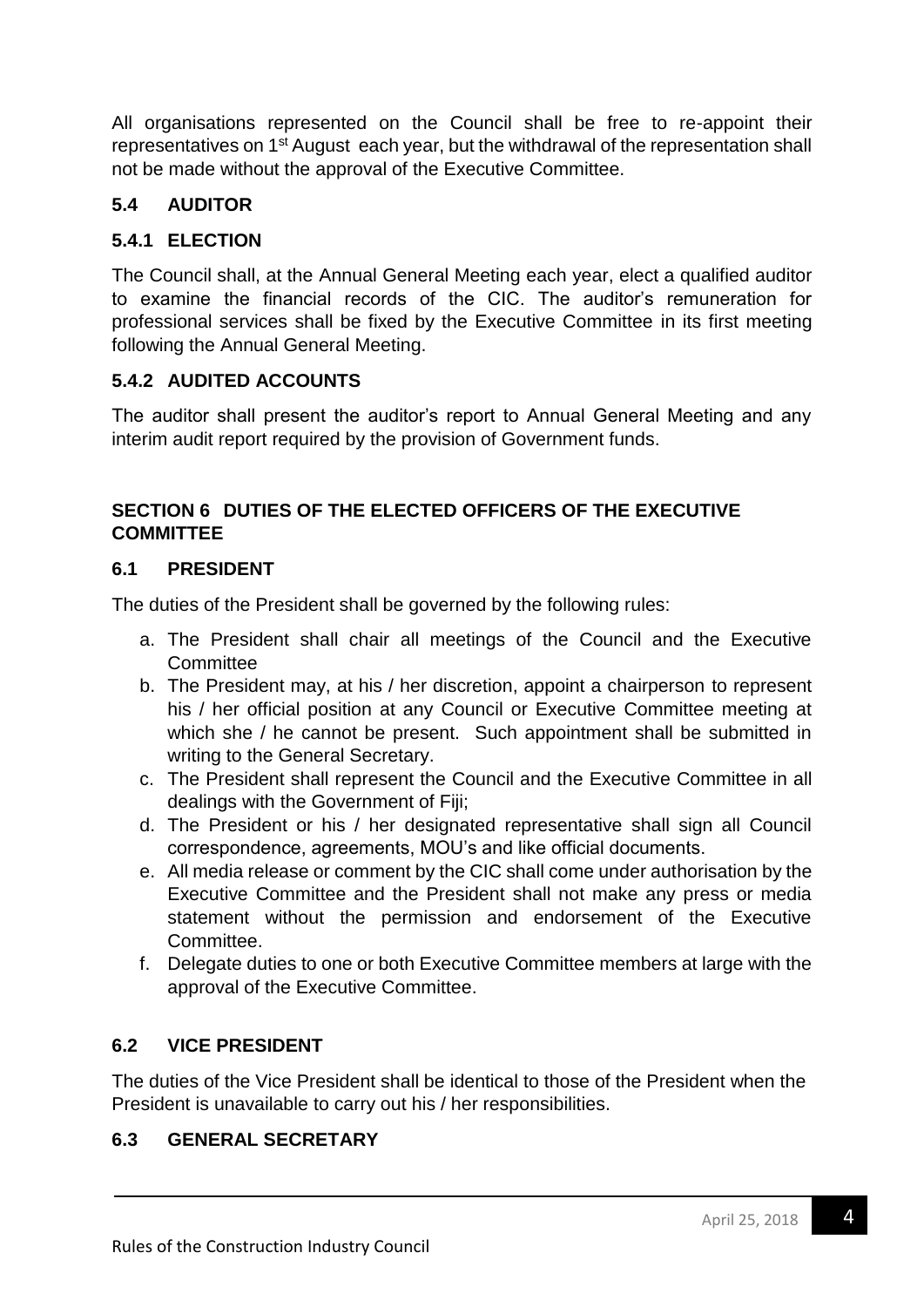All organisations represented on the Council shall be free to re-appoint their representatives on 1st August each year, but the withdrawal of the representation shall not be made without the approval of the Executive Committee.

# **5.4 AUDITOR**

# **5.4.1 ELECTION**

The Council shall, at the Annual General Meeting each year, elect a qualified auditor to examine the financial records of the CIC. The auditor's remuneration for professional services shall be fixed by the Executive Committee in its first meeting following the Annual General Meeting.

## **5.4.2 AUDITED ACCOUNTS**

The auditor shall present the auditor's report to Annual General Meeting and any interim audit report required by the provision of Government funds.

# **SECTION 6 DUTIES OF THE ELECTED OFFICERS OF THE EXECUTIVE COMMITTEE**

### **6.1 PRESIDENT**

The duties of the President shall be governed by the following rules:

- a. The President shall chair all meetings of the Council and the Executive **Committee**
- b. The President may, at his / her discretion, appoint a chairperson to represent his / her official position at any Council or Executive Committee meeting at which she / he cannot be present. Such appointment shall be submitted in writing to the General Secretary.
- c. The President shall represent the Council and the Executive Committee in all dealings with the Government of Fiji;
- d. The President or his / her designated representative shall sign all Council correspondence, agreements, MOU's and like official documents.
- e. All media release or comment by the CIC shall come under authorisation by the Executive Committee and the President shall not make any press or media statement without the permission and endorsement of the Executive Committee.
- f. Delegate duties to one or both Executive Committee members at large with the approval of the Executive Committee.

# **6.2 VICE PRESIDENT**

The duties of the Vice President shall be identical to those of the President when the President is unavailable to carry out his / her responsibilities.

### **6.3 GENERAL SECRETARY**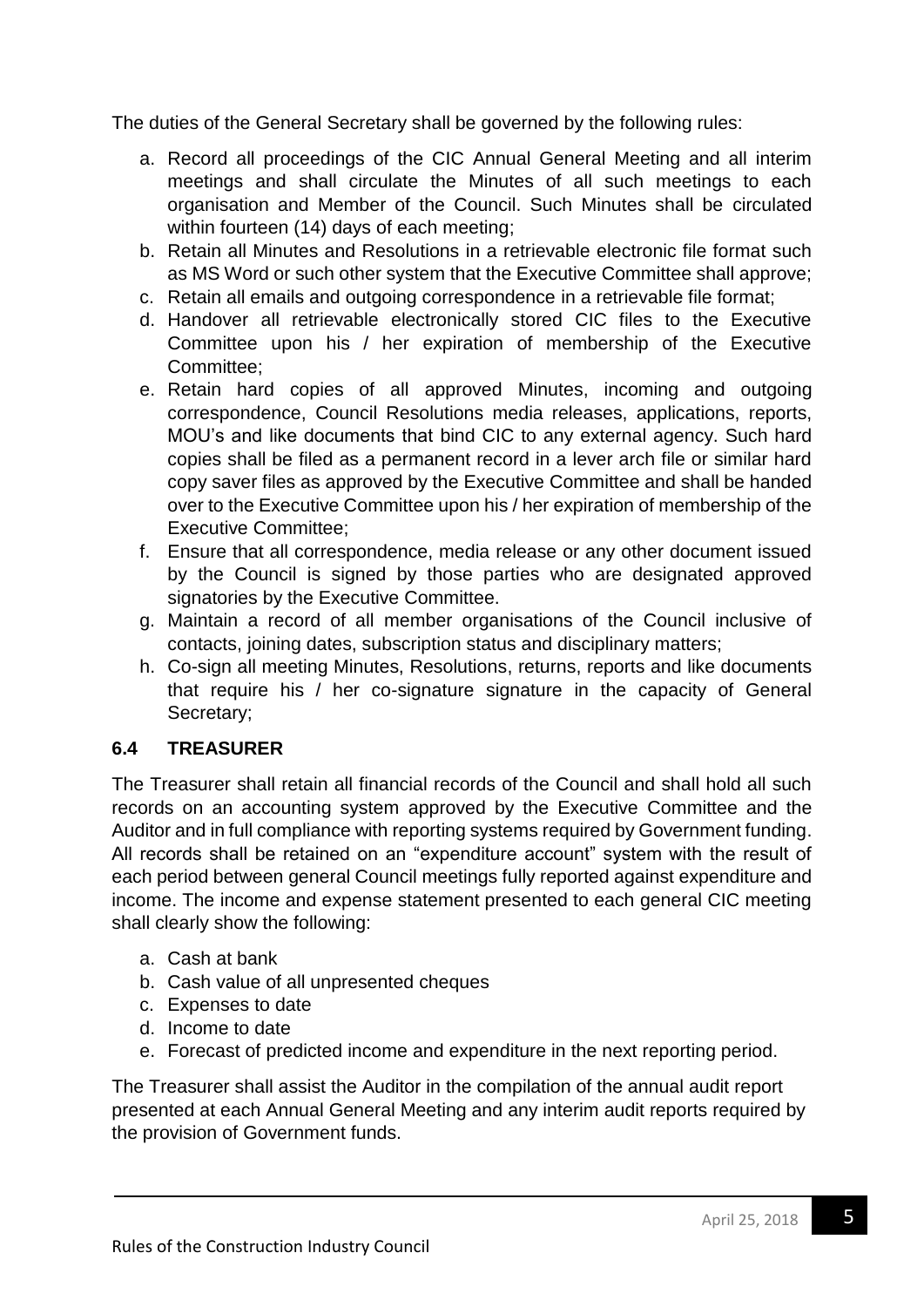The duties of the General Secretary shall be governed by the following rules:

- a. Record all proceedings of the CIC Annual General Meeting and all interim meetings and shall circulate the Minutes of all such meetings to each organisation and Member of the Council. Such Minutes shall be circulated within fourteen (14) days of each meeting;
- b. Retain all Minutes and Resolutions in a retrievable electronic file format such as MS Word or such other system that the Executive Committee shall approve;
- c. Retain all emails and outgoing correspondence in a retrievable file format;
- d. Handover all retrievable electronically stored CIC files to the Executive Committee upon his / her expiration of membership of the Executive Committee;
- e. Retain hard copies of all approved Minutes, incoming and outgoing correspondence, Council Resolutions media releases, applications, reports, MOU's and like documents that bind CIC to any external agency. Such hard copies shall be filed as a permanent record in a lever arch file or similar hard copy saver files as approved by the Executive Committee and shall be handed over to the Executive Committee upon his / her expiration of membership of the Executive Committee;
- f. Ensure that all correspondence, media release or any other document issued by the Council is signed by those parties who are designated approved signatories by the Executive Committee.
- g. Maintain a record of all member organisations of the Council inclusive of contacts, joining dates, subscription status and disciplinary matters;
- h. Co-sign all meeting Minutes, Resolutions, returns, reports and like documents that require his / her co-signature signature in the capacity of General Secretary;

### **6.4 TREASURER**

The Treasurer shall retain all financial records of the Council and shall hold all such records on an accounting system approved by the Executive Committee and the Auditor and in full compliance with reporting systems required by Government funding. All records shall be retained on an "expenditure account" system with the result of each period between general Council meetings fully reported against expenditure and income. The income and expense statement presented to each general CIC meeting shall clearly show the following:

- a. Cash at bank
- b. Cash value of all unpresented cheques
- c. Expenses to date
- d. Income to date
- e. Forecast of predicted income and expenditure in the next reporting period.

The Treasurer shall assist the Auditor in the compilation of the annual audit report presented at each Annual General Meeting and any interim audit reports required by the provision of Government funds.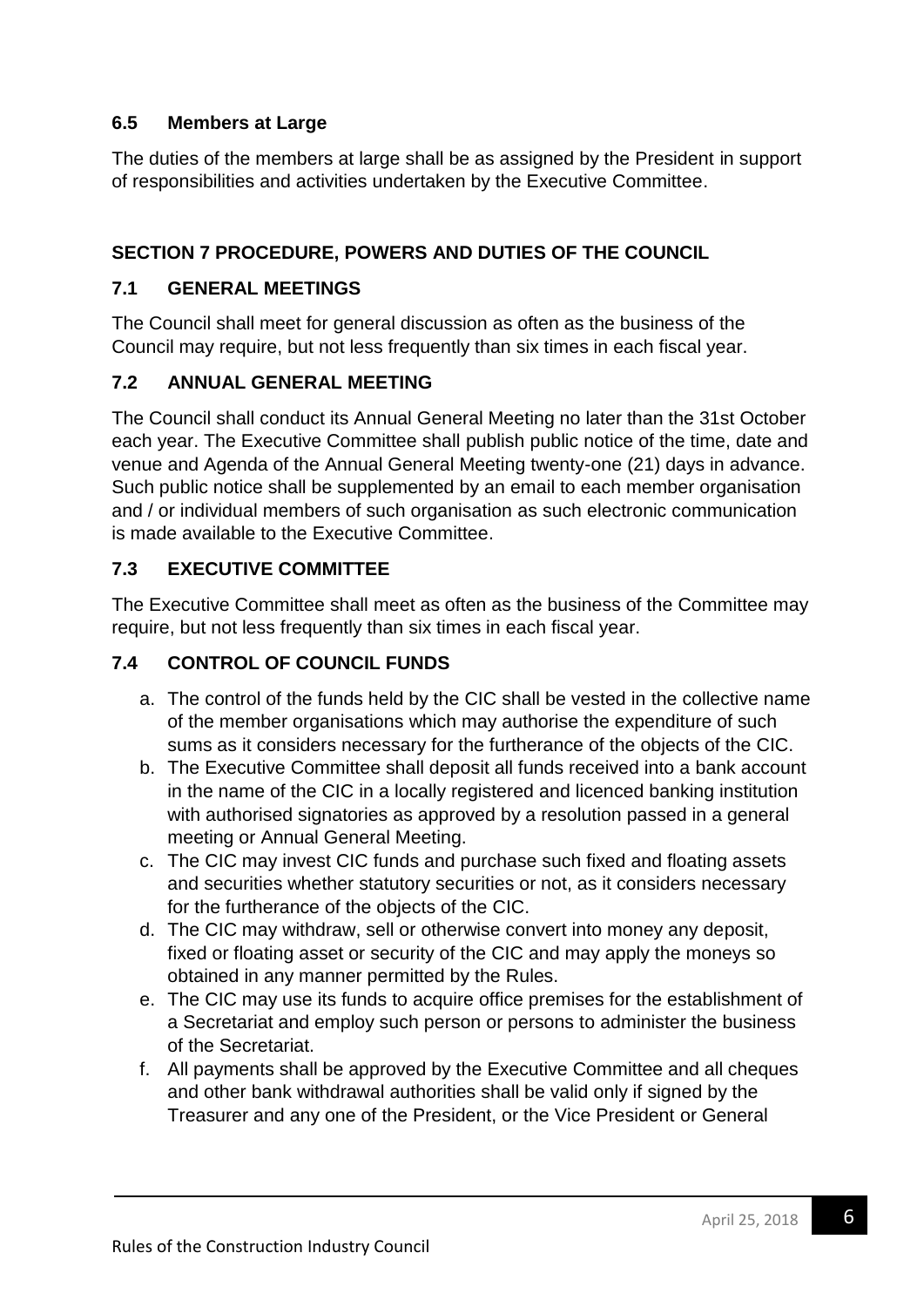# **6.5 Members at Large**

The duties of the members at large shall be as assigned by the President in support of responsibilities and activities undertaken by the Executive Committee.

## **SECTION 7 PROCEDURE, POWERS AND DUTIES OF THE COUNCIL**

### **7.1 GENERAL MEETINGS**

The Council shall meet for general discussion as often as the business of the Council may require, but not less frequently than six times in each fiscal year.

### **7.2 ANNUAL GENERAL MEETING**

The Council shall conduct its Annual General Meeting no later than the 31st October each year. The Executive Committee shall publish public notice of the time, date and venue and Agenda of the Annual General Meeting twenty-one (21) days in advance. Such public notice shall be supplemented by an email to each member organisation and / or individual members of such organisation as such electronic communication is made available to the Executive Committee.

## **7.3 EXECUTIVE COMMITTEE**

The Executive Committee shall meet as often as the business of the Committee may require, but not less frequently than six times in each fiscal year.

## **7.4 CONTROL OF COUNCIL FUNDS**

- a. The control of the funds held by the CIC shall be vested in the collective name of the member organisations which may authorise the expenditure of such sums as it considers necessary for the furtherance of the objects of the CIC.
- b. The Executive Committee shall deposit all funds received into a bank account in the name of the CIC in a locally registered and licenced banking institution with authorised signatories as approved by a resolution passed in a general meeting or Annual General Meeting.
- c. The CIC may invest CIC funds and purchase such fixed and floating assets and securities whether statutory securities or not, as it considers necessary for the furtherance of the objects of the CIC.
- d. The CIC may withdraw, sell or otherwise convert into money any deposit, fixed or floating asset or security of the CIC and may apply the moneys so obtained in any manner permitted by the Rules.
- e. The CIC may use its funds to acquire office premises for the establishment of a Secretariat and employ such person or persons to administer the business of the Secretariat.
- f. All payments shall be approved by the Executive Committee and all cheques and other bank withdrawal authorities shall be valid only if signed by the Treasurer and any one of the President, or the Vice President or General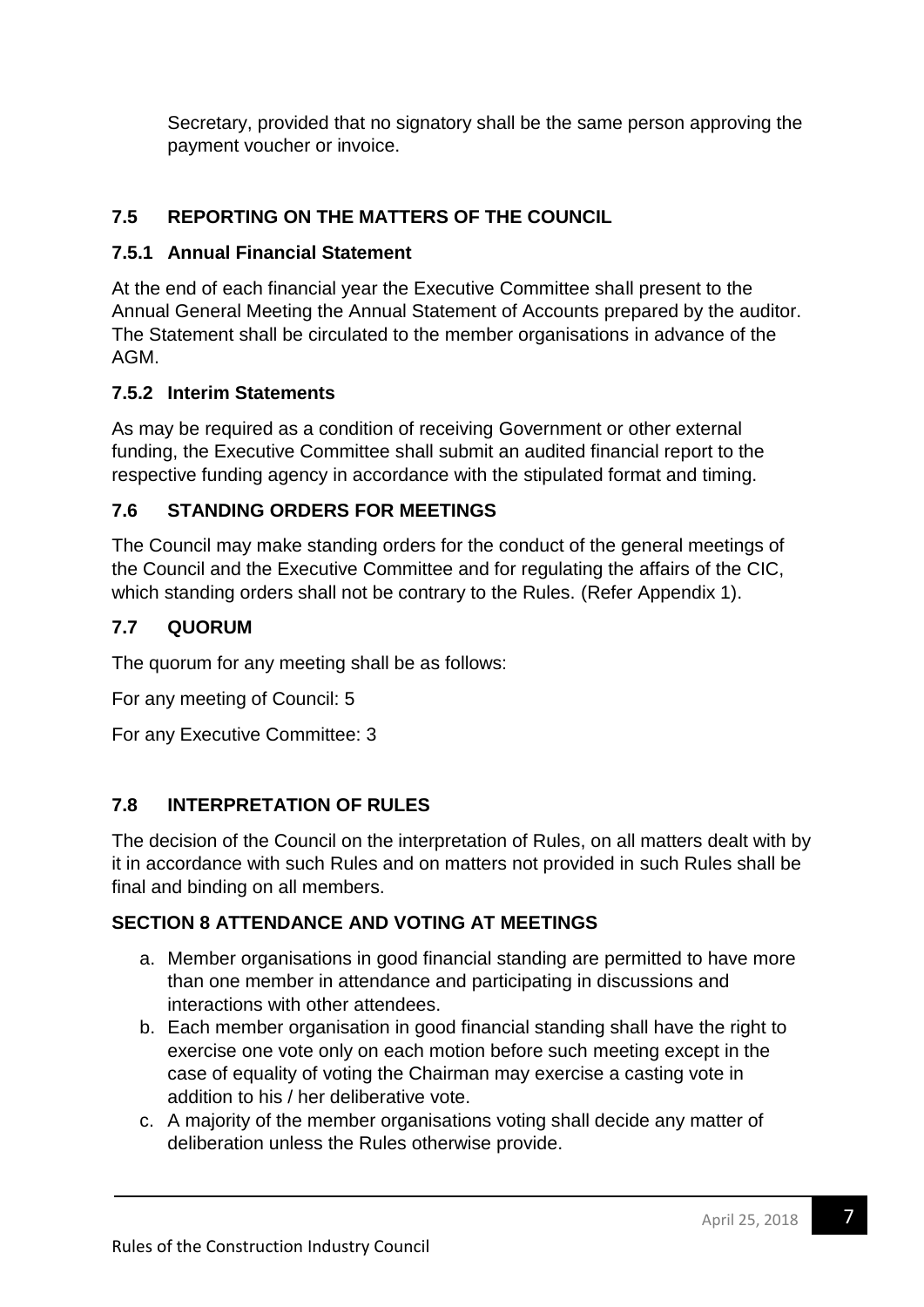Secretary, provided that no signatory shall be the same person approving the payment voucher or invoice.

# **7.5 REPORTING ON THE MATTERS OF THE COUNCIL**

## **7.5.1 Annual Financial Statement**

At the end of each financial year the Executive Committee shall present to the Annual General Meeting the Annual Statement of Accounts prepared by the auditor. The Statement shall be circulated to the member organisations in advance of the AGM.

## **7.5.2 Interim Statements**

As may be required as a condition of receiving Government or other external funding, the Executive Committee shall submit an audited financial report to the respective funding agency in accordance with the stipulated format and timing.

# **7.6 STANDING ORDERS FOR MEETINGS**

The Council may make standing orders for the conduct of the general meetings of the Council and the Executive Committee and for regulating the affairs of the CIC, which standing orders shall not be contrary to the Rules. (Refer Appendix 1).

# **7.7 QUORUM**

The quorum for any meeting shall be as follows:

For any meeting of Council: 5

For any Executive Committee: 3

# **7.8 INTERPRETATION OF RULES**

The decision of the Council on the interpretation of Rules, on all matters dealt with by it in accordance with such Rules and on matters not provided in such Rules shall be final and binding on all members.

### **SECTION 8 ATTENDANCE AND VOTING AT MEETINGS**

- a. Member organisations in good financial standing are permitted to have more than one member in attendance and participating in discussions and interactions with other attendees.
- b. Each member organisation in good financial standing shall have the right to exercise one vote only on each motion before such meeting except in the case of equality of voting the Chairman may exercise a casting vote in addition to his / her deliberative vote.
- c. A majority of the member organisations voting shall decide any matter of deliberation unless the Rules otherwise provide.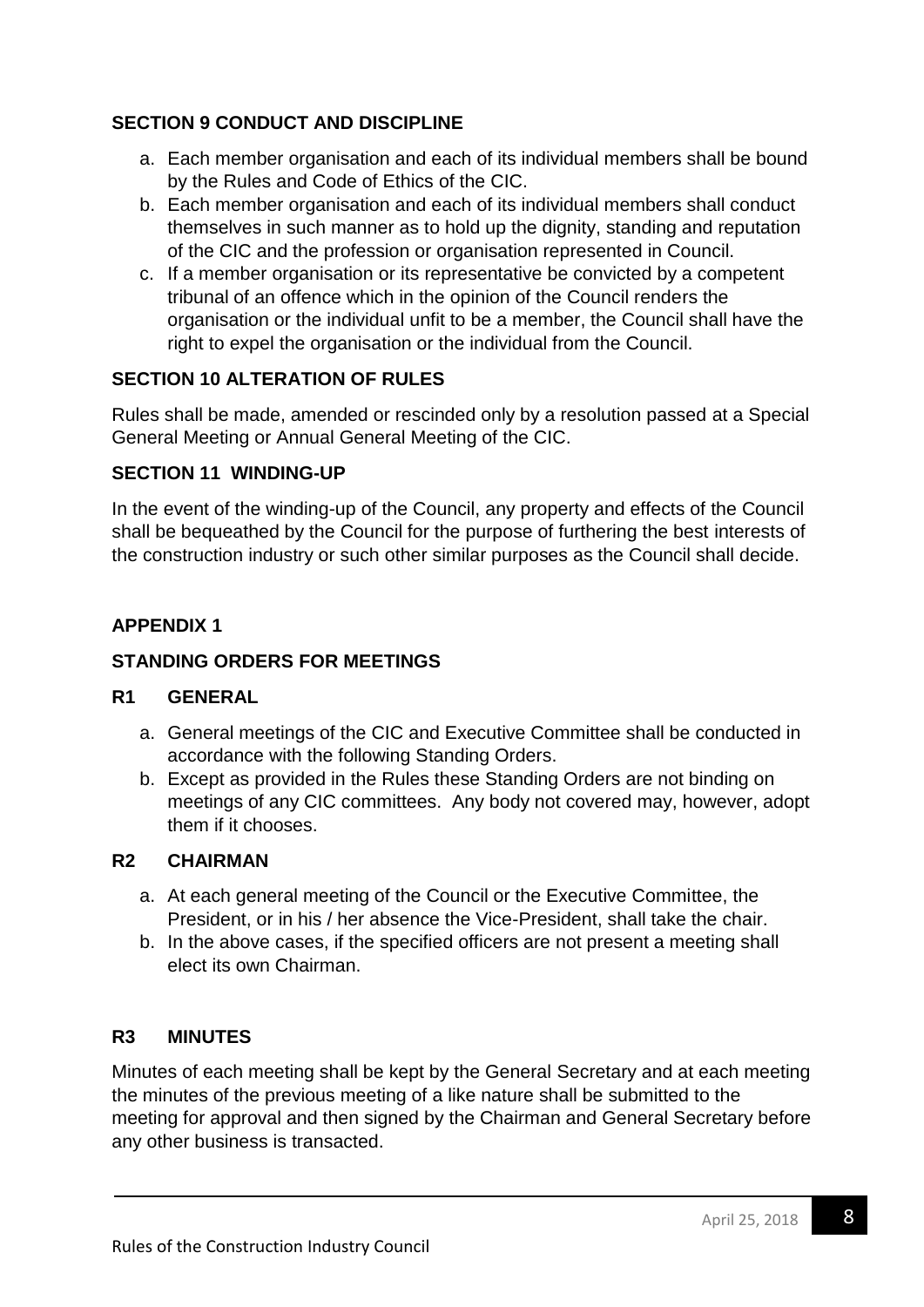## **SECTION 9 CONDUCT AND DISCIPLINE**

- a. Each member organisation and each of its individual members shall be bound by the Rules and Code of Ethics of the CIC.
- b. Each member organisation and each of its individual members shall conduct themselves in such manner as to hold up the dignity, standing and reputation of the CIC and the profession or organisation represented in Council.
- c. If a member organisation or its representative be convicted by a competent tribunal of an offence which in the opinion of the Council renders the organisation or the individual unfit to be a member, the Council shall have the right to expel the organisation or the individual from the Council.

## **SECTION 10 ALTERATION OF RULES**

Rules shall be made, amended or rescinded only by a resolution passed at a Special General Meeting or Annual General Meeting of the CIC.

### **SECTION 11 WINDING-UP**

In the event of the winding-up of the Council, any property and effects of the Council shall be bequeathed by the Council for the purpose of furthering the best interests of the construction industry or such other similar purposes as the Council shall decide.

## **APPENDIX 1**

## **STANDING ORDERS FOR MEETINGS**

### **R1 GENERAL**

- a. General meetings of the CIC and Executive Committee shall be conducted in accordance with the following Standing Orders.
- b. Except as provided in the Rules these Standing Orders are not binding on meetings of any CIC committees. Any body not covered may, however, adopt them if it chooses.

### **R2 CHAIRMAN**

- a. At each general meeting of the Council or the Executive Committee, the President, or in his / her absence the Vice-President, shall take the chair.
- b. In the above cases, if the specified officers are not present a meeting shall elect its own Chairman.

### **R3 MINUTES**

Minutes of each meeting shall be kept by the General Secretary and at each meeting the minutes of the previous meeting of a like nature shall be submitted to the meeting for approval and then signed by the Chairman and General Secretary before any other business is transacted.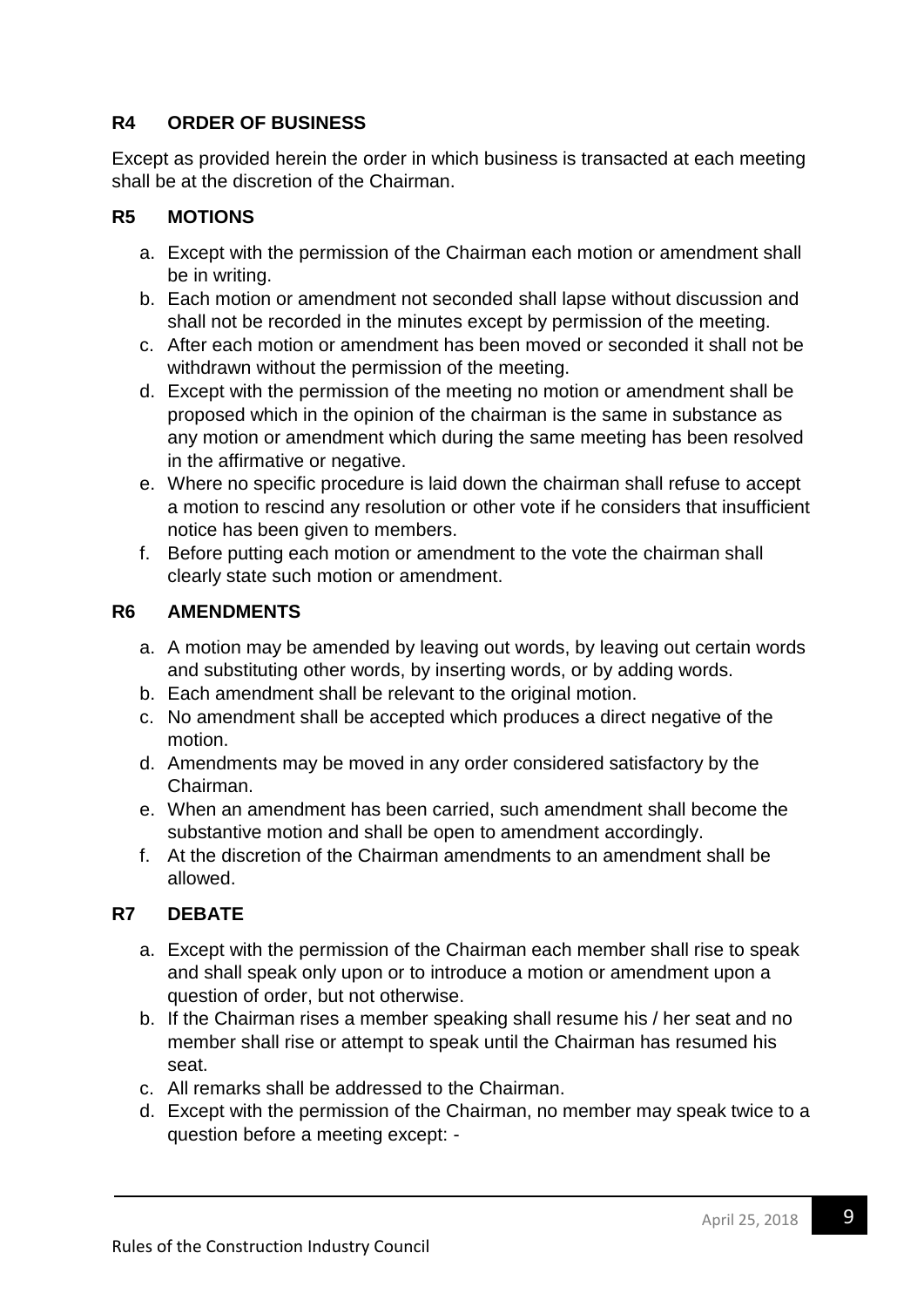## **R4 ORDER OF BUSINESS**

Except as provided herein the order in which business is transacted at each meeting shall be at the discretion of the Chairman.

## **R5 MOTIONS**

- a. Except with the permission of the Chairman each motion or amendment shall be in writing.
- b. Each motion or amendment not seconded shall lapse without discussion and shall not be recorded in the minutes except by permission of the meeting.
- c. After each motion or amendment has been moved or seconded it shall not be withdrawn without the permission of the meeting.
- d. Except with the permission of the meeting no motion or amendment shall be proposed which in the opinion of the chairman is the same in substance as any motion or amendment which during the same meeting has been resolved in the affirmative or negative.
- e. Where no specific procedure is laid down the chairman shall refuse to accept a motion to rescind any resolution or other vote if he considers that insufficient notice has been given to members.
- f. Before putting each motion or amendment to the vote the chairman shall clearly state such motion or amendment.

### **R6 AMENDMENTS**

- a. A motion may be amended by leaving out words, by leaving out certain words and substituting other words, by inserting words, or by adding words.
- b. Each amendment shall be relevant to the original motion.
- c. No amendment shall be accepted which produces a direct negative of the motion.
- d. Amendments may be moved in any order considered satisfactory by the Chairman.
- e. When an amendment has been carried, such amendment shall become the substantive motion and shall be open to amendment accordingly.
- f. At the discretion of the Chairman amendments to an amendment shall be allowed.

### **R7 DEBATE**

- a. Except with the permission of the Chairman each member shall rise to speak and shall speak only upon or to introduce a motion or amendment upon a question of order, but not otherwise.
- b. If the Chairman rises a member speaking shall resume his / her seat and no member shall rise or attempt to speak until the Chairman has resumed his seat.
- c. All remarks shall be addressed to the Chairman.
- d. Except with the permission of the Chairman, no member may speak twice to a question before a meeting except: -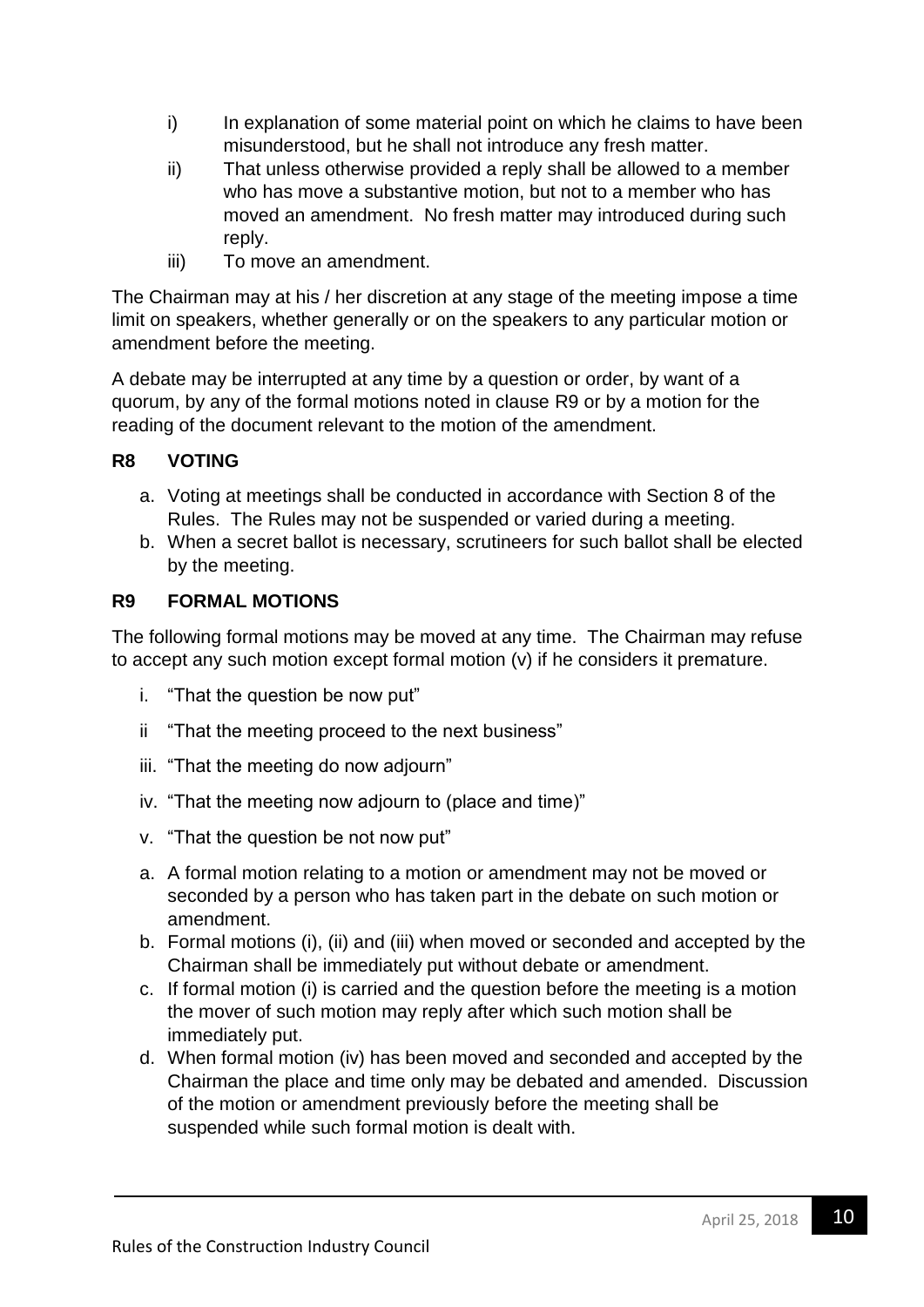- i) In explanation of some material point on which he claims to have been misunderstood, but he shall not introduce any fresh matter.
- ii) That unless otherwise provided a reply shall be allowed to a member who has move a substantive motion, but not to a member who has moved an amendment. No fresh matter may introduced during such reply.
- iii) To move an amendment.

The Chairman may at his / her discretion at any stage of the meeting impose a time limit on speakers, whether generally or on the speakers to any particular motion or amendment before the meeting.

A debate may be interrupted at any time by a question or order, by want of a quorum, by any of the formal motions noted in clause R9 or by a motion for the reading of the document relevant to the motion of the amendment.

## **R8 VOTING**

- a. Voting at meetings shall be conducted in accordance with Section 8 of the Rules. The Rules may not be suspended or varied during a meeting.
- b. When a secret ballot is necessary, scrutineers for such ballot shall be elected by the meeting.

### **R9 FORMAL MOTIONS**

The following formal motions may be moved at any time. The Chairman may refuse to accept any such motion except formal motion (v) if he considers it premature.

- i. "That the question be now put"
- ii "That the meeting proceed to the next business"
- iii. "That the meeting do now adjourn"
- iv. "That the meeting now adjourn to (place and time)"
- v. "That the question be not now put"
- a. A formal motion relating to a motion or amendment may not be moved or seconded by a person who has taken part in the debate on such motion or amendment.
- b. Formal motions (i), (ii) and (iii) when moved or seconded and accepted by the Chairman shall be immediately put without debate or amendment.
- c. If formal motion (i) is carried and the question before the meeting is a motion the mover of such motion may reply after which such motion shall be immediately put.
- d. When formal motion (iv) has been moved and seconded and accepted by the Chairman the place and time only may be debated and amended. Discussion of the motion or amendment previously before the meeting shall be suspended while such formal motion is dealt with.